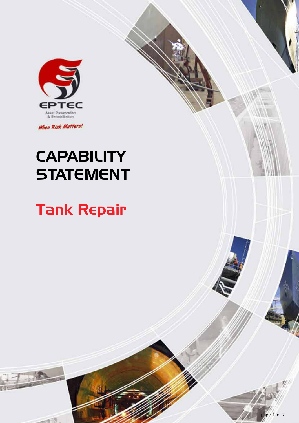

When Risk Matters!

# **CAPABILITY STATEMENT**

# Tank Repair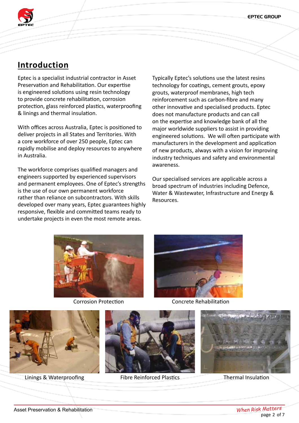EPTEC GROUP



# **Introduction**

Eptec is a specialist industrial contractor in Asset Preservation and Rehabilitation. Our expertise is engineered solutions using resin technology to provide concrete rehabilitation, corrosion protection, glass reinforced plastics, waterproofing & linings and thermal insulation.

With offices across Australia, Eptec is positioned to deliver projects in all States and Territories. With a core workforce of over 250 people, Eptec can rapidly mobilise and deploy resources to anywhere in Australia.

The workforce comprises qualified managers and engineers supported by experienced supervisors and permanent employees. One of Eptec's strengths is the use of our own permanent workforce rather than reliance on subcontractors. With skills developed over many years, Eptec guarantees highly responsive, flexible and committed teams ready to undertake projects in even the most remote areas.

Typically Eptec's solutions use the latest resins technology for coatings, cement grouts, epoxy grouts, waterproof membranes, high tech reinforcement such as carbon-fibre and many other innovative and specialised products. Eptec does not manufacture products and can call on the expertise and knowledge bank of all the major worldwide suppliers to assist in providing engineered solutions. We will often participate with manufacturers in the development and application of new products, always with a vision for improving industry techniques and safety and environmental awareness.

Our specialised services are applicable across a broad spectrum of industries including Defence, Water & Wastewater, Infrastructure and Energy & Resources.





Corrosion Protection Concrete Rehabilitation



Linings & Waterproofing Fibre Reinforced Plastics Thermal Insulation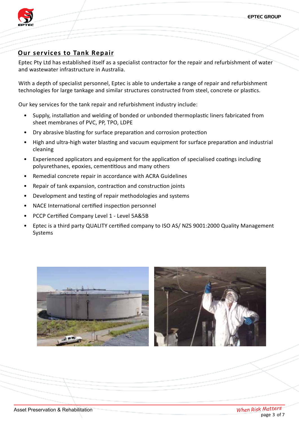

# **Our services to Tank Repair**

Eptec Pty Ltd has established itself as a specialist contractor for the repair and refurbishment of water and wastewater infrastructure in Australia.

With a depth of specialist personnel, Eptec is able to undertake a range of repair and refurbishment technologies for large tankage and similar structures constructed from steel, concrete or plastics.

Our key services for the tank repair and refurbishment industry include:

- Supply, installation and welding of bonded or unbonded thermoplastic liners fabricated from sheet membranes of PVC, PP, TPO, LDPE
- Dry abrasive blasting for surface preparation and corrosion protection
- High and ultra-high water blasting and vacuum equipment for surface preparation and industrial cleaning
- Experienced applicators and equipment for the application of specialised coatings including polyurethanes, epoxies, cementitious and many others
- Remedial concrete repair in accordance with ACRA Guidelines
- Repair of tank expansion, contraction and construction joints
- Development and testing of repair methodologies and systems
- NACE International certified inspection personnel
- PCCP Certified Company Level 1 Level 5A&5B
- Eptec is a third party QUALITY certified company to ISO AS/ NZS 9001:2000 Quality Management Systems



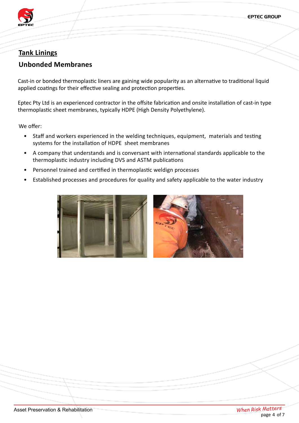

# **Tank Linings**

### **Unbonded Membranes**

Cast-in or bonded thermoplastic liners are gaining wide popularity as an alternative to traditional liquid applied coatings for their effective sealing and protection properties.

Eptec Pty Ltd is an experienced contractor in the offsite fabrication and onsite installation of cast-in type thermoplastic sheet membranes, typically HDPE (High Density Polyethylene).

We offer:

- Staff and workers experienced in the welding techniques, equipment, materials and testing systems for the installation of HDPE sheet membranes
- A company that understands and is conversant with international standards applicable to the thermoplastic industry including DVS and ASTM publications
- Personnel trained and certified in thermoplastic weldign processes
- Established processes and procedures for quality and safety applicable to the water industry

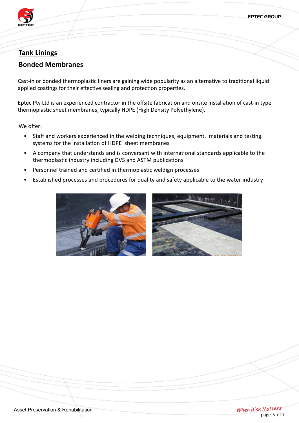

# **Tank Linings**

# **Bonded Membranes**

Cast-in or bonded thermoplastic liners are gaining wide popularity as an alternative to traditional liquid applied coatings for their effective sealing and protection properties.

Eptec Pty Ltd is an experienced contractor in the offsite fabrication and onsite installation of cast-in type thermoplastic sheet membranes, typically HDPE (High Density Polyethylene).

We offer:

- Staff and workers experienced in the welding techniques, equipment, materials and testing systems for the installation of HDPE sheet membranes
- A company that understands and is conversant with international standards applicable to the thermoplastic industry including DVS and ASTM publications
- Personnel trained and certified in thermoplastic weldign processes
- Established processes and procedures for quality and safety applicable to the water industry

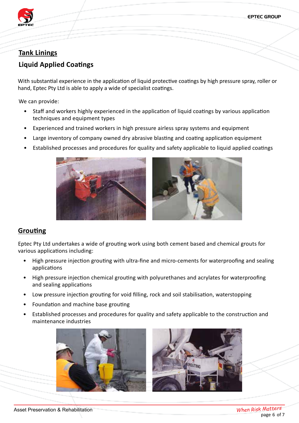

# **Tank Linings**

# **Liquid Applied Coatings**

With substantial experience in the application of liquid protective coatings by high pressure spray, roller or hand, Eptec Pty Ltd is able to apply a wide of specialist coatings.

We can provide:

- Staff and workers highly experienced in the application of liquid coatings by various application techniques and equipment types
- Experienced and trained workers in high pressure airless spray systems and equipment
- Large inventory of company owned dry abrasive blasting and coating application equipment
- Established processes and procedures for quality and safety applicable to liquid applied coatings





#### **Grouting**

Eptec Pty Ltd undertakes a wide of grouting work using both cement based and chemical grouts for various applications including:

- High pressure injection grouting with ultra-fine and micro-cements for waterproofing and sealing applications
- High pressure injection chemical grouting with polyurethanes and acrylates for waterproofing and sealing applications
- Low pressure injection grouting for void filling, rock and soil stabilisation, waterstopping
- Foundation and machine base grouting
- Established processes and procedures for quality and safety applicable to the construction and maintenance industries